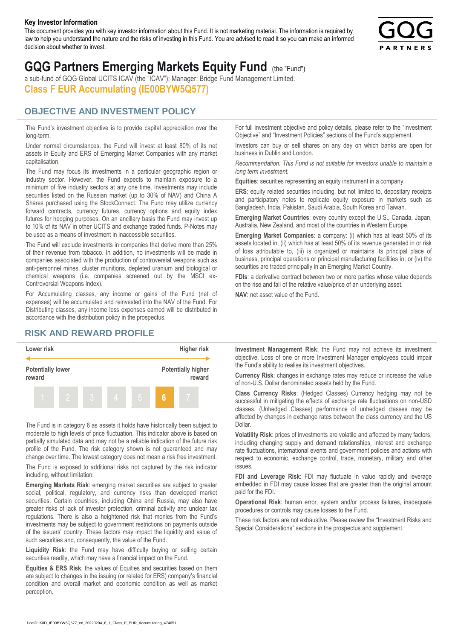#### **Key Investor Information**

This document provides you with key investor information about this Fund. It is not marketing material. The information is required by law to help you understand the nature and the risks of investing in this Fund. You are advised to read it so you can make an informed decision about whether to invest.



# **GQG Partners Emerging Markets Equity Fund** (the "Fund")

a sub-fund of GQG Global UCITS ICAV (the "ICAV"); Manager: Bridge Fund Management Limited. **Class F EUR Accumulating (IE00BYW5Q577)**

#### **OBJECTIVE AND INVESTMENT POLICY**

The Fund's investment objective is to provide capital appreciation over the long-term.

Under normal circumstances, the Fund will invest at least 80% of its net assets in Equity and ERS of Emerging Market Companies with any market capitalisation.

The Fund may focus its investments in a particular geographic region or industry sector. However, the Fund expects to maintain exposure to a minimum of five industry sectors at any one time. Investments may include securities listed on the Russian market (up to 30% of NAV) and China A Shares purchased using the StockConnect. The Fund may utilize currency forward contracts, currency futures, currency options and equity index futures for hedging purposes. On an ancillary basis the Fund may invest up to 10% of its NAV in other UCITS and exchange traded funds. P-Notes may be used as a means of investment in inaccessible securities.

The Fund will exclude investments in companies that derive more than 25% of their revenue from tobacco. In addition, no investments will be made in companies associated with the production of controversial weapons such as anti-personnel mines, cluster munitions, depleted uranium and biological or chemical weapons (i.e. companies screened out by the MSCI ex-Controversial Weapons Index).

For Accumulating classes, any income or gains of the Fund (net of expenses) will be accumulated and reinvested into the NAV of the Fund. For Distributing classes, any income less expenses earned will be distributed in accordance with the distribution policy in the prospectus.

### **RISK AND REWARD PROFILE**



The Fund is in category 6 as assets it holds have historically been subject to moderate to high levels of price fluctuation. This indicator above is based on partially simulated data and may not be a reliable indication of the future risk profile of the Fund. The risk category shown is not guaranteed and may change over time. The lowest category does not mean a risk free investment.

The Fund is exposed to additional risks not captured by the risk indicator including, without limitation:

**Emerging Markets Risk**: emerging market securities are subject to greater social, political, regulatory, and currency risks than developed market securities. Certain countries, including China and Russia, may also have greater risks of lack of investor protection, criminal activity and unclear tax regulations. There is also a heightened risk that monies from the Fund's investments may be subject to government restrictions on payments outside of the issuers' country. These factors may impact the liquidity and value of such securities and, consequently, the value of the Fund.

**Liquidity Risk**: the Fund may have difficulty buying or selling certain securities readily, which may have a financial impact on the Fund.

**Equities & ERS Risk**: the values of Equities and securities based on them are subject to changes in the issuing (or related for ERS) company's financial condition and overall market and economic condition as well as market perception.

For full investment objective and policy details, please refer to the "Investment Objective" and "Investment Policies" sections of the Fund's supplement.

Investors can buy or sell shares on any day on which banks are open for business in Dublin and London.

*Recommendation: This Fund is not suitable for investors unable to maintain a long term investment.*

**Equities**: securities representing an equity instrument in a company.

**ERS:** equity related securities including, but not limited to, depositary receipts and participatory notes to replicate equity exposure in markets such as Bangladesh, India, Pakistan, Saudi Arabia, South Korea and Taiwan.

**Emerging Market Countries**: every country except the U.S., Canada, Japan, Australia, New Zealand, and most of the countries in Western Europe.

**Emerging Market Companies**: a company: (i) which has at least 50% of its assets located in, (ii) which has at least 50% of its revenue generated in or risk of loss attributable to, (iii) is organized or maintains its principal place of business, principal operations or principal manufacturing facilities in; or (iv) the securities are traded principally in an Emerging Market Country.

**FDIs**: a derivative contract between two or more parties whose value depends on the rise and fall of the relative value/price of an underlying asset.

**NAV**: net asset value of the Fund.

**Investment Management Risk**: the Fund may not achieve its investment objective. Loss of one or more Investment Manager employees could impair the Fund's ability to realise its investment objectives.

**Currency Risk**: changes in exchange rates may reduce or increase the value of non-U.S. Dollar denominated assets held by the Fund.

**Class Currency Risks**: (Hedged Classes) Currency hedging may not be successful in mitigating the effects of exchange rate fluctuations on non-USD classes. (Unhedged Classes) performance of unhedged classes may be affected by changes in exchange rates between the class currency and the US Dollar.

**Volatility Risk**: prices of investments are volatile and affected by many factors, including changing supply and demand relationships, interest and exchange rate fluctuations, international events and government policies and actions with respect to economic, exchange control, trade, monetary, military and other issues.

**FDI and Leverage Risk**: FDI may fluctuate in value rapidly and leverage embedded in FDI may cause losses that are greater than the original amount paid for the FDI.

**Operational Risk**: human error, system and/or process failures, inadequate procedures or controls may cause losses to the Fund.

These risk factors are not exhaustive. Please review the "Investment Risks and Special Considerations" sections in the prospectus and supplement.